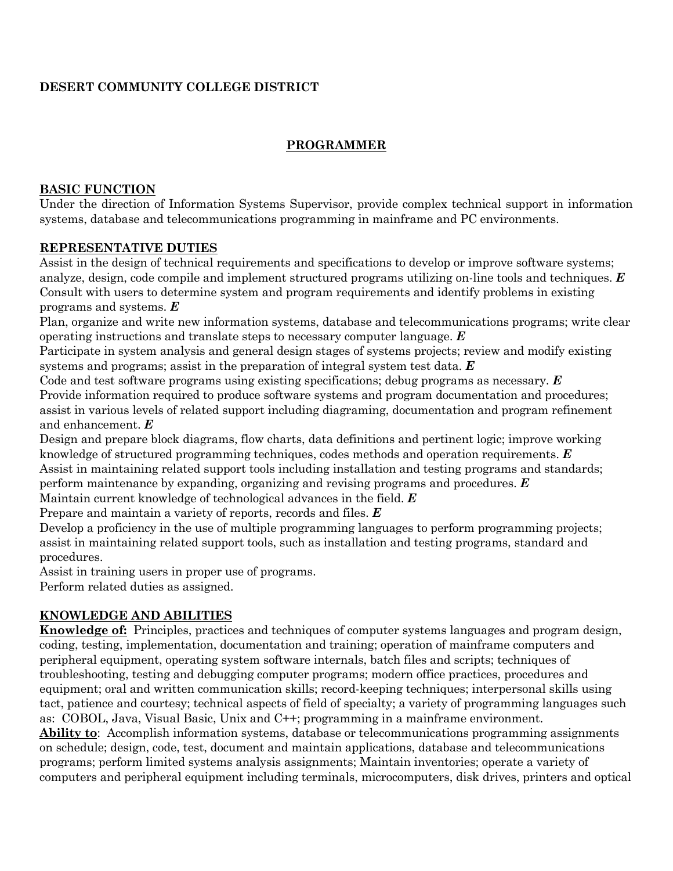# **DESERT COMMUNITY COLLEGE DISTRICT**

# **PROGRAMMER**

#### **BASIC FUNCTION**

Under the direction of Information Systems Supervisor, provide complex technical support in information systems, database and telecommunications programming in mainframe and PC environments.

### **REPRESENTATIVE DUTIES**

Assist in the design of technical requirements and specifications to develop or improve software systems; analyze, design, code compile and implement structured programs utilizing on-line tools and techniques. *E* Consult with users to determine system and program requirements and identify problems in existing programs and systems. *E*

Plan, organize and write new information systems, database and telecommunications programs; write clear operating instructions and translate steps to necessary computer language. *E*

Participate in system analysis and general design stages of systems projects; review and modify existing systems and programs; assist in the preparation of integral system test data. *E*

Code and test software programs using existing specifications; debug programs as necessary. *E* Provide information required to produce software systems and program documentation and procedures; assist in various levels of related support including diagraming, documentation and program refinement and enhancement. *E*

Design and prepare block diagrams, flow charts, data definitions and pertinent logic; improve working knowledge of structured programming techniques, codes methods and operation requirements. *E* Assist in maintaining related support tools including installation and testing programs and standards; perform maintenance by expanding, organizing and revising programs and procedures. *E*

Maintain current knowledge of technological advances in the field. *E*

Prepare and maintain a variety of reports, records and files. *E*

Develop a proficiency in the use of multiple programming languages to perform programming projects; assist in maintaining related support tools, such as installation and testing programs, standard and procedures.

Assist in training users in proper use of programs.

Perform related duties as assigned.

## **KNOWLEDGE AND ABILITIES**

**Knowledge of:** Principles, practices and techniques of computer systems languages and program design, coding, testing, implementation, documentation and training; operation of mainframe computers and peripheral equipment, operating system software internals, batch files and scripts; techniques of troubleshooting, testing and debugging computer programs; modern office practices, procedures and equipment; oral and written communication skills; record-keeping techniques; interpersonal skills using tact, patience and courtesy; technical aspects of field of specialty; a variety of programming languages such as: COBOL, Java, Visual Basic, Unix and C++; programming in a mainframe environment.

**Ability to**: Accomplish information systems, database or telecommunications programming assignments on schedule; design, code, test, document and maintain applications, database and telecommunications programs; perform limited systems analysis assignments; Maintain inventories; operate a variety of computers and peripheral equipment including terminals, microcomputers, disk drives, printers and optical